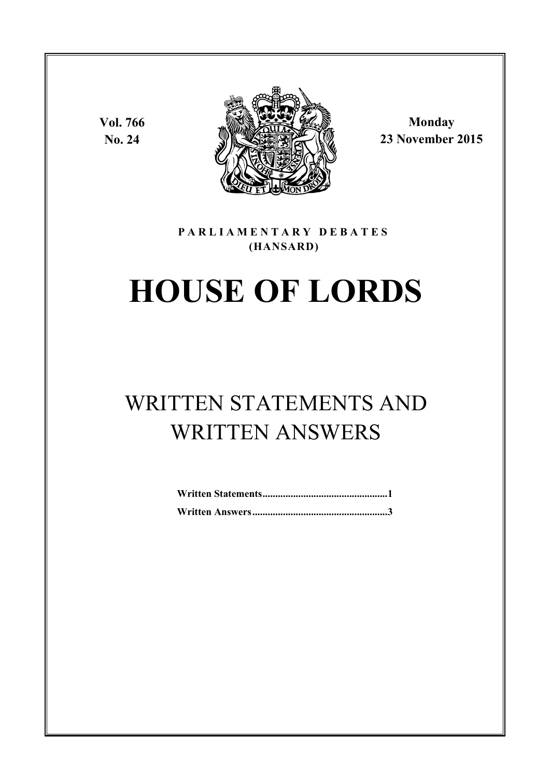**Vol. 766 No. 24**



**Monday 23 November 2015**

### **P A R L I A M E N T A R Y D E B A T E S (HANSARD)**

# **HOUSE OF LORDS**

# WRITTEN STATEMENTS AND WRITTEN ANSWERS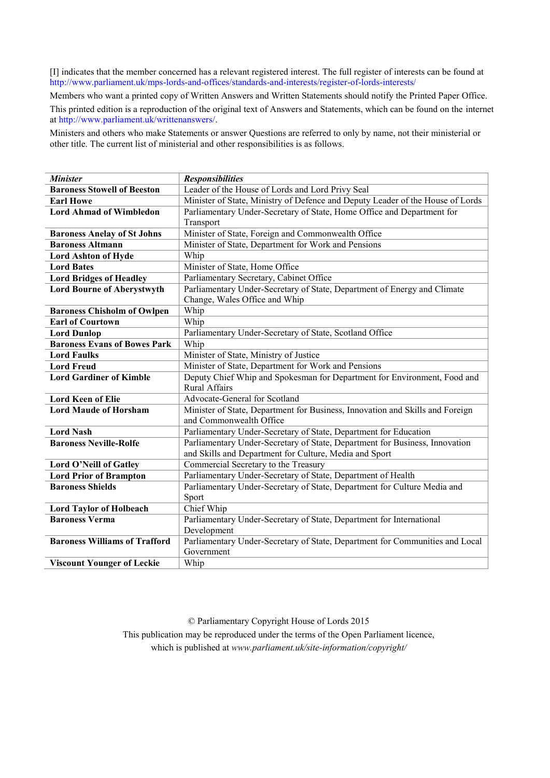[I] indicates that the member concerned has a relevant registered interest. The full register of interests can be found at <http://www.parliament.uk/mps-lords-and-offices/standards-and-interests/register-of-lords-interests/>

Members who want a printed copy of Written Answers and Written Statements should notify the Printed Paper Office. This printed edition is a reproduction of the original text of Answers and Statements, which can be found on the internet a[t http://www.parliament.uk/writtenanswers/.](http://www.parliament.uk/writtenanswers)

Ministers and others who make Statements or answer Questions are referred to only by name, not their ministerial or other title. The current list of ministerial and other responsibilities is as follows.

| <b>Minister</b>                      | <b>Responsibilities</b>                                                        |
|--------------------------------------|--------------------------------------------------------------------------------|
| <b>Baroness Stowell of Beeston</b>   | Leader of the House of Lords and Lord Privy Seal                               |
| <b>Earl Howe</b>                     | Minister of State, Ministry of Defence and Deputy Leader of the House of Lords |
| <b>Lord Ahmad of Wimbledon</b>       | Parliamentary Under-Secretary of State, Home Office and Department for         |
|                                      | Transport                                                                      |
| <b>Baroness Anelay of St Johns</b>   | Minister of State, Foreign and Commonwealth Office                             |
| <b>Baroness Altmann</b>              | Minister of State, Department for Work and Pensions                            |
| <b>Lord Ashton of Hyde</b>           | Whip                                                                           |
| <b>Lord Bates</b>                    | Minister of State, Home Office                                                 |
| <b>Lord Bridges of Headley</b>       | Parliamentary Secretary, Cabinet Office                                        |
| <b>Lord Bourne of Aberystwyth</b>    | Parliamentary Under-Secretary of State, Department of Energy and Climate       |
|                                      | Change, Wales Office and Whip                                                  |
| <b>Baroness Chisholm of Owlpen</b>   | Whip                                                                           |
| <b>Earl of Courtown</b>              | Whip                                                                           |
| <b>Lord Dunlop</b>                   | Parliamentary Under-Secretary of State, Scotland Office                        |
| <b>Baroness Evans of Bowes Park</b>  | Whip                                                                           |
| <b>Lord Faulks</b>                   | Minister of State, Ministry of Justice                                         |
| <b>Lord Freud</b>                    | Minister of State, Department for Work and Pensions                            |
| <b>Lord Gardiner of Kimble</b>       | Deputy Chief Whip and Spokesman for Department for Environment, Food and       |
|                                      | Rural Affairs                                                                  |
| <b>Lord Keen of Elie</b>             | Advocate-General for Scotland                                                  |
| <b>Lord Maude of Horsham</b>         | Minister of State, Department for Business, Innovation and Skills and Foreign  |
|                                      | and Commonwealth Office                                                        |
| <b>Lord Nash</b>                     | Parliamentary Under-Secretary of State, Department for Education               |
| <b>Baroness Neville-Rolfe</b>        | Parliamentary Under-Secretary of State, Department for Business, Innovation    |
|                                      | and Skills and Department for Culture, Media and Sport                         |
| Lord O'Neill of Gatley               | Commercial Secretary to the Treasury                                           |
| <b>Lord Prior of Brampton</b>        | Parliamentary Under-Secretary of State, Department of Health                   |
| <b>Baroness Shields</b>              | Parliamentary Under-Secretary of State, Department for Culture Media and       |
|                                      | Sport                                                                          |
| <b>Lord Taylor of Holbeach</b>       | Chief Whip                                                                     |
| <b>Baroness Verma</b>                | Parliamentary Under-Secretary of State, Department for International           |
|                                      | Development                                                                    |
| <b>Baroness Williams of Trafford</b> | Parliamentary Under-Secretary of State, Department for Communities and Local   |
|                                      | Government                                                                     |
| <b>Viscount Younger of Leckie</b>    | Whip                                                                           |

© Parliamentary Copyright House of Lords 2015 This publication may be reproduced under the terms of the Open Parliament licence, which is published at *www.parliament.uk/site-information/copyright/*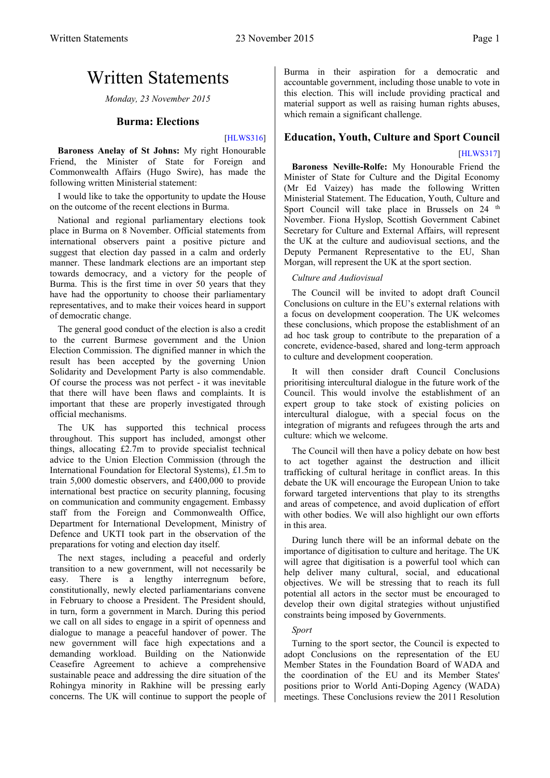# <span id="page-2-0"></span>Written Statements

*Monday, 23 November 2015*

### **Burma: Elections**

#### [\[HLWS316\]](http://www.parliament.uk/business/publications/written-questions-answers-statements/written-statement/Lords/2015-11-23/HLWS316/)

<span id="page-2-1"></span>**Baroness Anelay of St Johns:** My right Honourable Friend, the Minister of State for Foreign and Commonwealth Affairs (Hugo Swire), has made the following written Ministerial statement:

I would like to take the opportunity to update the House on the outcome of the recent elections in Burma.

National and regional parliamentary elections took place in Burma on 8 November. Official statements from international observers paint a positive picture and suggest that election day passed in a calm and orderly manner. These landmark elections are an important step towards democracy, and a victory for the people of Burma. This is the first time in over 50 years that they have had the opportunity to choose their parliamentary representatives, and to make their voices heard in support of democratic change.

The general good conduct of the election is also a credit to the current Burmese government and the Union Election Commission. The dignified manner in which the result has been accepted by the governing Union Solidarity and Development Party is also commendable. Of course the process was not perfect - it was inevitable that there will have been flaws and complaints. It is important that these are properly investigated through official mechanisms.

The UK has supported this technical process throughout. This support has included, amongst other things, allocating £2.7m to provide specialist technical advice to the Union Election Commission (through the International Foundation for Electoral Systems), £1.5m to train 5,000 domestic observers, and £400,000 to provide international best practice on security planning, focusing on communication and community engagement. Embassy staff from the Foreign and Commonwealth Office, Department for International Development, Ministry of Defence and UKTI took part in the observation of the preparations for voting and election day itself.

The next stages, including a peaceful and orderly transition to a new government, will not necessarily be easy. There is a lengthy interregnum before, constitutionally, newly elected parliamentarians convene in February to choose a President. The President should, in turn, form a government in March. During this period we call on all sides to engage in a spirit of openness and dialogue to manage a peaceful handover of power. The new government will face high expectations and a demanding workload. Building on the Nationwide Ceasefire Agreement to achieve a comprehensive sustainable peace and addressing the dire situation of the Rohingya minority in Rakhine will be pressing early concerns. The UK will continue to support the people of Burma in their aspiration for a democratic and accountable government, including those unable to vote in this election. This will include providing practical and material support as well as raising human rights abuses, which remain a significant challenge.

#### <span id="page-2-2"></span>**Education, Youth, Culture and Sport Council**

#### [\[HLWS317\]](http://www.parliament.uk/business/publications/written-questions-answers-statements/written-statement/Lords/2015-11-23/HLWS317/)

**Baroness Neville-Rolfe:** My Honourable Friend the Minister of State for Culture and the Digital Economy (Mr Ed Vaizey) has made the following Written Ministerial Statement. The Education, Youth, Culture and Sport Council will take place in Brussels on 24 <sup>th</sup> November. Fiona Hyslop, Scottish Government Cabinet Secretary for Culture and External Affairs, will represent the UK at the culture and audiovisual sections, and the Deputy Permanent Representative to the EU, Shan Morgan, will represent the UK at the sport section.

#### *Culture and Audiovisual*

The Council will be invited to adopt draft Council Conclusions on culture in the EU's external relations with a focus on development cooperation. The UK welcomes these conclusions, which propose the establishment of an ad hoc task group to contribute to the preparation of a concrete, evidence-based, shared and long-term approach to culture and development cooperation.

It will then consider draft Council Conclusions prioritising intercultural dialogue in the future work of the Council. This would involve the establishment of an expert group to take stock of existing policies on intercultural dialogue, with a special focus on the integration of migrants and refugees through the arts and culture: which we welcome.

The Council will then have a policy debate on how best to act together against the destruction and illicit trafficking of cultural heritage in conflict areas. In this debate the UK will encourage the European Union to take forward targeted interventions that play to its strengths and areas of competence, and avoid duplication of effort with other bodies. We will also highlight our own efforts in this area.

During lunch there will be an informal debate on the importance of digitisation to culture and heritage. The UK will agree that digitisation is a powerful tool which can help deliver many cultural, social, and educational objectives. We will be stressing that to reach its full potential all actors in the sector must be encouraged to develop their own digital strategies without unjustified constraints being imposed by Governments.

#### *Sport*

Turning to the sport sector, the Council is expected to adopt Conclusions on the representation of the EU Member States in the Foundation Board of WADA and the coordination of the EU and its Member States' positions prior to World Anti-Doping Agency (WADA) meetings. These Conclusions review the 2011 Resolution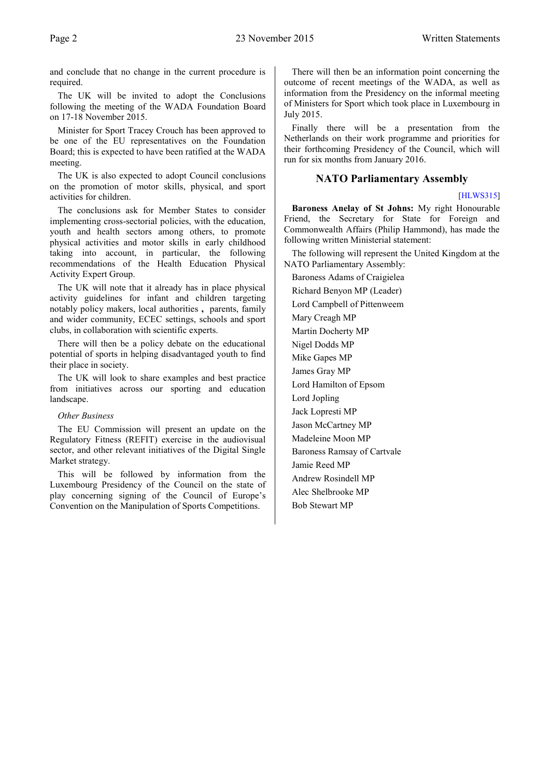and conclude that no change in the current procedure is required.

The UK will be invited to adopt the Conclusions following the meeting of the WADA Foundation Board on 17-18 November 2015.

Minister for Sport Tracey Crouch has been approved to be one of the EU representatives on the Foundation Board; this is expected to have been ratified at the WADA meeting.

The UK is also expected to adopt Council conclusions on the promotion of motor skills, physical, and sport activities for children.

The conclusions ask for Member States to consider implementing cross-sectorial policies, with the education, youth and health sectors among others, to promote physical activities and motor skills in early childhood taking into account, in particular, the following recommendations of the Health Education Physical Activity Expert Group.

The UK will note that it already has in place physical activity guidelines for infant and children targeting notably policy makers, local authorities **,** parents, family and wider community, ECEC settings, schools and sport clubs, in collaboration with scientific experts.

There will then be a policy debate on the educational potential of sports in helping disadvantaged youth to find their place in society.

The UK will look to share examples and best practice from initiatives across our sporting and education landscape.

#### *Other Business*

The EU Commission will present an update on the Regulatory Fitness (REFIT) exercise in the audiovisual sector, and other relevant initiatives of the Digital Single Market strategy.

This will be followed by information from the Luxembourg Presidency of the Council on the state of play concerning signing of the Council of Europe's Convention on the Manipulation of Sports Competitions.

There will then be an information point concerning the outcome of recent meetings of the WADA, as well as information from the Presidency on the informal meeting of Ministers for Sport which took place in Luxembourg in July 2015.

Finally there will be a presentation from the Netherlands on their work programme and priorities for their forthcoming Presidency of the Council, which will run for six months from January 2016.

#### <span id="page-3-0"></span>**NATO Parliamentary Assembly**

#### [\[HLWS315\]](http://www.parliament.uk/business/publications/written-questions-answers-statements/written-statement/Lords/2015-11-23/HLWS315/)

**Baroness Anelay of St Johns:** My right Honourable Friend, the Secretary for State for Foreign and Commonwealth Affairs (Philip Hammond), has made the following written Ministerial statement:

The following will represent the United Kingdom at the NATO Parliamentary Assembly:

Baroness Adams of Craigielea Richard Benyon MP (Leader) Lord Campbell of Pittenweem Mary Creagh MP Martin Docherty MP Nigel Dodds MP Mike Gapes MP James Gray MP Lord Hamilton of Epsom Lord Jopling Jack Lopresti MP Jason McCartney MP Madeleine Moon MP Baroness Ramsay of Cartvale Jamie Reed MP Andrew Rosindell MP Alec Shelbrooke MP Bob Stewart MP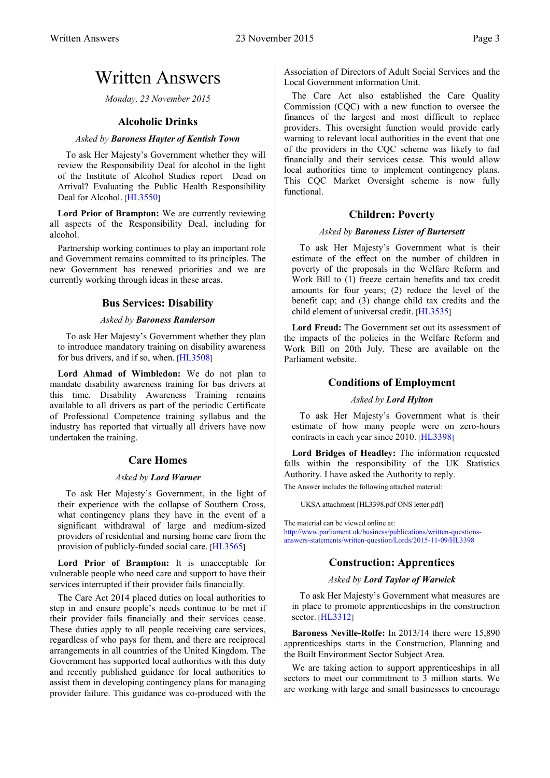## <span id="page-4-0"></span>Written Answers

*Monday, 23 November 2015*

#### **Alcoholic Drinks**

#### <span id="page-4-1"></span>*Asked by Baroness Hayter of Kentish Town*

To ask Her Majesty's Government whether they will review the Responsibility Deal for alcohol in the light of the Institute of Alcohol Studies report Dead on Arrival? Evaluating the Public Health Responsibility Deal for Alcohol. [[HL3550](http://www.parliament.uk/business/publications/written-questions-answers-statements/written-question/Lords/2015-11-11/HL3550)]

**Lord Prior of Brampton:** We are currently reviewing all aspects of the Responsibility Deal, including for alcohol.

<span id="page-4-2"></span>Partnership working continues to play an important role and Government remains committed to its principles. The new Government has renewed priorities and we are currently working through ideas in these areas.

#### **Bus Services: Disability**

#### *Asked by Baroness Randerson*

To ask Her Majesty's Government whether they plan to introduce mandatory training on disability awareness for bus drivers, and if so, when. [[HL3508](http://www.parliament.uk/business/publications/written-questions-answers-statements/written-question/Lords/2015-11-10/HL3508)]

**Lord Ahmad of Wimbledon:** We do not plan to mandate disability awareness training for bus drivers at this time. Disability Awareness Training remains available to all drivers as part of the periodic Certificate of Professional Competence training syllabus and the industry has reported that virtually all drivers have now undertaken the training.

#### **Care Homes**

#### *Asked by Lord Warner*

<span id="page-4-3"></span>To ask Her Majesty's Government, in the light of their experience with the collapse of Southern Cross, what contingency plans they have in the event of a significant withdrawal of large and medium-sized providers of residential and nursing home care from the provision of publicly-funded social care. [[HL3565](http://www.parliament.uk/business/publications/written-questions-answers-statements/written-question/Lords/2015-11-11/HL3565)]

Lord Prior of Brampton: It is unacceptable for vulnerable people who need care and support to have their services interrupted if their provider fails financially.

The Care Act 2014 placed duties on local authorities to step in and ensure people's needs continue to be met if their provider fails financially and their services cease. These duties apply to all people receiving care services, regardless of who pays for them, and there are reciprocal arrangements in all countries of the United Kingdom. The Government has supported local authorities with this duty and recently published guidance for local authorities to assist them in developing contingency plans for managing provider failure. This guidance was co-produced with the Association of Directors of Adult Social Services and the Local Government information Unit.

The Care Act also established the Care Quality Commission (CQC) with a new function to oversee the finances of the largest and most difficult to replace providers. This oversight function would provide early warning to relevant local authorities in the event that one of the providers in the CQC scheme was likely to fail financially and their services cease. This would allow local authorities time to implement contingency plans. This CQC Market Oversight scheme is now fully functional.

#### **Children: Poverty**

#### *Asked by Baroness Lister of Burtersett*

<span id="page-4-4"></span>To ask Her Majesty's Government what is their estimate of the effect on the number of children in poverty of the proposals in the Welfare Reform and Work Bill to (1) freeze certain benefits and tax credit amounts for four years; (2) reduce the level of the benefit cap; and (3) change child tax credits and the child element of universal credit. [[HL3535](http://www.parliament.uk/business/publications/written-questions-answers-statements/written-question/Lords/2015-11-10/HL3535)]

<span id="page-4-5"></span>**Lord Freud:** The Government set out its assessment of the impacts of the policies in the Welfare Reform and Work Bill on 20th July. These are available on the Parliament website.

#### **Conditions of Employment**

#### *Asked by Lord Hylton*

To ask Her Majesty's Government what is their estimate of how many people were on zero-hours contracts in each year since 2010. [[HL3398](http://www.parliament.uk/business/publications/written-questions-answers-statements/written-question/Lords/2015-11-09/HL3398)]

**Lord Bridges of Headley:** The information requested falls within the responsibility of the UK Statistics Authority. I have asked the Authority to reply.

The Answer includes the following attached material:

UKSA attachment [HL3398.pdf ONS letter.pdf]

<span id="page-4-6"></span>[The material can be viewed online at:](http://www.parliament.uk/business/publications/written-questions-answers-statements/written-question/Lords/2015-11-09/HL3398)  [http://www.parliament.uk/business/publications/written-questions](http://www.parliament.uk/business/publications/written-questions-answers-statements/written-question/Lords/2015-11-09/HL3398)[answers-statements/written-question/Lords/2015-11-09/HL3398](http://www.parliament.uk/business/publications/written-questions-answers-statements/written-question/Lords/2015-11-09/HL3398)

### **Construction: Apprentices**

#### *Asked by Lord Taylor of Warwick*

To ask Her Majesty's Government what measures are in place to promote apprenticeships in the construction sector. [[HL3312](http://www.parliament.uk/business/publications/written-questions-answers-statements/written-question/Lords/2015-11-04/HL3312)]

**Baroness Neville-Rolfe:** In 2013/14 there were 15,890 apprenticeships starts in the Construction, Planning and the Built Environment Sector Subject Area.

We are taking action to support apprenticeships in all sectors to meet our commitment to 3 million starts. We are working with large and small businesses to encourage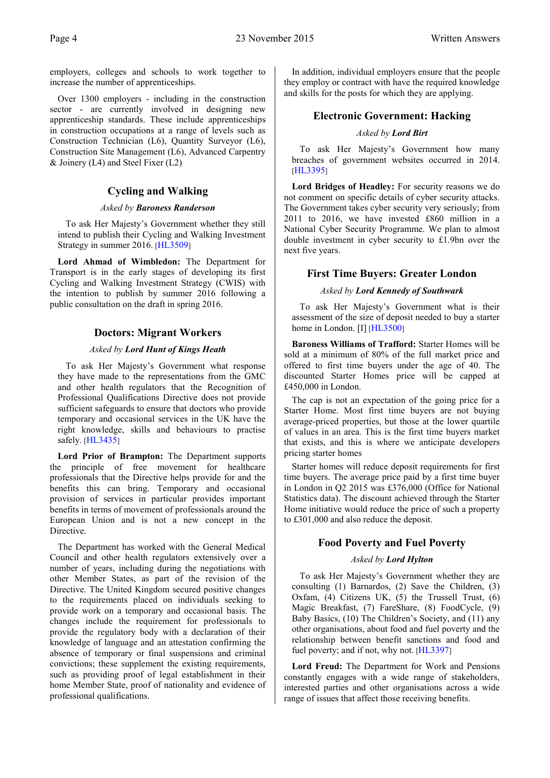employers, colleges and schools to work together to increase the number of apprenticeships.

Over 1300 employers - including in the construction sector - are currently involved in designing new apprenticeship standards. These include apprenticeships in construction occupations at a range of levels such as Construction Technician (L6), Quantity Surveyor (L6), Construction Site Management (L6), Advanced Carpentry  $&$  Joinery (L4) and Steel Fixer (L2)

#### **Cycling and Walking**

#### *Asked by Baroness Randerson*

<span id="page-5-0"></span>To ask Her Majesty's Government whether they still intend to publish their Cycling and Walking Investment Strategy in summer 2016. [[HL3509](http://www.parliament.uk/business/publications/written-questions-answers-statements/written-question/Lords/2015-11-10/HL3509)]

**Lord Ahmad of Wimbledon:** The Department for Transport is in the early stages of developing its first Cycling and Walking Investment Strategy (CWIS) with the intention to publish by summer 2016 following a public consultation on the draft in spring 2016.

### <span id="page-5-1"></span>**Doctors: Migrant Workers**

#### *Asked by Lord Hunt of Kings Heath*

To ask Her Majesty's Government what response they have made to the representations from the GMC and other health regulators that the Recognition of Professional Qualifications Directive does not provide sufficient safeguards to ensure that doctors who provide temporary and occasional services in the UK have the right knowledge, skills and behaviours to practise safely. [[HL3435](http://www.parliament.uk/business/publications/written-questions-answers-statements/written-question/Lords/2015-11-09/HL3435)]

**Lord Prior of Brampton:** The Department supports the principle of free movement for healthcare professionals that the Directive helps provide for and the benefits this can bring. Temporary and occasional provision of services in particular provides important benefits in terms of movement of professionals around the European Union and is not a new concept in the Directive.

The Department has worked with the General Medical Council and other health regulators extensively over a number of years, including during the negotiations with other Member States, as part of the revision of the Directive. The United Kingdom secured positive changes to the requirements placed on individuals seeking to provide work on a temporary and occasional basis. The changes include the requirement for professionals to provide the regulatory body with a declaration of their knowledge of language and an attestation confirming the absence of temporary or final suspensions and criminal convictions; these supplement the existing requirements, such as providing proof of legal establishment in their home Member State, proof of nationality and evidence of professional qualifications.

<span id="page-5-2"></span>In addition, individual employers ensure that the people they employ or contract with have the required knowledge and skills for the posts for which they are applying.

#### **Electronic Government: Hacking**

#### *Asked by Lord Birt*

To ask Her Majesty's Government how many breaches of government websites occurred in 2014[.](http://www.parliament.uk/business/publications/written-questions-answers-statements/written-question/Lords/2015-11-09/HL3395) [[HL3395](http://www.parliament.uk/business/publications/written-questions-answers-statements/written-question/Lords/2015-11-09/HL3395)]

**Lord Bridges of Headley:** For security reasons we do not comment on specific details of cyber security attacks. The Government takes cyber security very seriously; from 2011 to 2016, we have invested £860 million in a National Cyber Security Programme. We plan to almost double investment in cyber security to £1.9bn over the next five years.

#### <span id="page-5-3"></span>**First Time Buyers: Greater London**

#### *Asked by Lord Kennedy of Southwark*

To ask Her Majesty's Government what is their assessment of the size of deposit needed to buy a starter home in London. [I] [[HL3500](http://www.parliament.uk/business/publications/written-questions-answers-statements/written-question/Lords/2015-11-10/HL3500)]

**Baroness Williams of Trafford:** Starter Homes will be sold at a minimum of 80% of the full market price and offered to first time buyers under the age of 40. The discounted Starter Homes price will be capped at £450,000 in London.

The cap is not an expectation of the going price for a Starter Home. Most first time buyers are not buying average-priced properties, but those at the lower quartile of values in an area. This is the first time buyers market that exists, and this is where we anticipate developers pricing starter homes

Starter homes will reduce deposit requirements for first time buyers. The average price paid by a first time buyer in London in Q2 2015 was £376,000 (Office for National Statistics data). The discount achieved through the Starter Home initiative would reduce the price of such a property to £301,000 and also reduce the deposit.

### <span id="page-5-4"></span>**Food Poverty and Fuel Poverty**

#### *Asked by Lord Hylton*

To ask Her Majesty's Government whether they are consulting (1) Barnardos, (2) Save the Children, (3) Oxfam, (4) Citizens UK, (5) the Trussell Trust, (6) Magic Breakfast, (7) FareShare, (8) FoodCycle, (9) Baby Basics, (10) The Children's Society, and (11) any other organisations, about food and fuel poverty and the relationship between benefit sanctions and food and fuel poverty; and if not, why not. [[HL3397](http://www.parliament.uk/business/publications/written-questions-answers-statements/written-question/Lords/2015-11-09/HL3397)]

**Lord Freud:** The Department for Work and Pensions constantly engages with a wide range of stakeholders, interested parties and other organisations across a wide range of issues that affect those receiving benefits.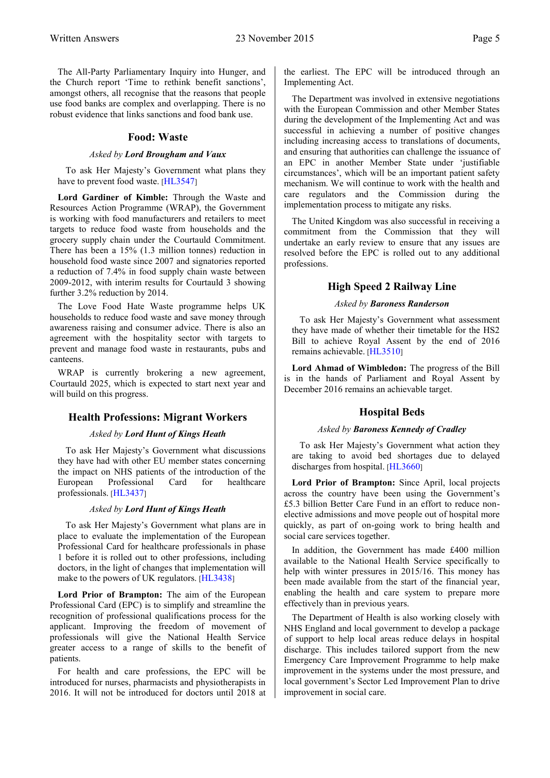The All-Party Parliamentary Inquiry into Hunger, and the Church report 'Time to rethink benefit sanctions', amongst others, all recognise that the reasons that people use food banks are complex and overlapping. There is no robust evidence that links sanctions and food bank use.

#### **Food: Waste**

#### *Asked by Lord Brougham and Vaux*

<span id="page-6-0"></span>To ask Her Majesty's Government what plans they have to prevent food waste. [[HL3547](http://www.parliament.uk/business/publications/written-questions-answers-statements/written-question/Lords/2015-11-11/HL3547)]

**Lord Gardiner of Kimble:** Through the Waste and Resources Action Programme (WRAP), the Government is working with food manufacturers and retailers to meet targets to reduce food waste from households and the grocery supply chain under the Courtauld Commitment. There has been a 15% (1.3 million tonnes) reduction in household food waste since 2007 and signatories reported a reduction of 7.4% in food supply chain waste between 2009-2012, with interim results for Courtauld 3 showing further 3.2% reduction by 2014.

The Love Food Hate Waste programme helps UK households to reduce food waste and save money through awareness raising and consumer advice. There is also an agreement with the hospitality sector with targets to prevent and manage food waste in restaurants, pubs and canteens.

WRAP is currently brokering a new agreement, Courtauld 2025, which is expected to start next year and will build on this progress.

#### <span id="page-6-1"></span>**Health Professions: Migrant Workers**

#### *Asked by Lord Hunt of Kings Heath*

To ask Her Majesty's Government what discussions they have had with other EU member states concerning the impact on NHS patients of the introduction of the European Professional Card for healthcare professionals. [[HL3437](http://www.parliament.uk/business/publications/written-questions-answers-statements/written-question/Lords/2015-11-09/HL3437)]

#### *Asked by Lord Hunt of Kings Heath*

To ask Her Majesty's Government what plans are in place to evaluate the implementation of the European Professional Card for healthcare professionals in phase 1 before it is rolled out to other professions, including doctors, in the light of changes that implementation will make to the powers of UK regulators. [[HL3438](http://www.parliament.uk/business/publications/written-questions-answers-statements/written-question/Lords/2015-11-09/HL3438)]

**Lord Prior of Brampton:** The aim of the European Professional Card (EPC) is to simplify and streamline the recognition of professional qualifications process for the applicant. Improving the freedom of movement of professionals will give the National Health Service greater access to a range of skills to the benefit of patients.

For health and care professions, the EPC will be introduced for nurses, pharmacists and physiotherapists in 2016. It will not be introduced for doctors until 2018 at the earliest. The EPC will be introduced through an Implementing Act.

The Department was involved in extensive negotiations with the European Commission and other Member States during the development of the Implementing Act and was successful in achieving a number of positive changes including increasing access to translations of documents, and ensuring that authorities can challenge the issuance of an EPC in another Member State under 'justifiable circumstances', which will be an important patient safety mechanism. We will continue to work with the health and care regulators and the Commission during the implementation process to mitigate any risks.

The United Kingdom was also successful in receiving a commitment from the Commission that they will undertake an early review to ensure that any issues are resolved before the EPC is rolled out to any additional professions.

#### **High Speed 2 Railway Line**

#### *Asked by Baroness Randerson*

<span id="page-6-2"></span>To ask Her Majesty's Government what assessment they have made of whether their timetable for the HS2 Bill to achieve Royal Assent by the end of 2016 remains achievable. [[HL3510](http://www.parliament.uk/business/publications/written-questions-answers-statements/written-question/Lords/2015-11-10/HL3510)]

<span id="page-6-3"></span>**Lord Ahmad of Wimbledon:** The progress of the Bill is in the hands of Parliament and Royal Assent by December 2016 remains an achievable target.

#### **Hospital Beds**

#### *Asked by Baroness Kennedy of Cradley*

To ask Her Majesty's Government what action they are taking to avoid bed shortages due to delayed discharges from hospital. [[HL3660](http://www.parliament.uk/business/publications/written-questions-answers-statements/written-question/Lords/2015-11-17/HL3660)]

**Lord Prior of Brampton:** Since April, local projects across the country have been using the Government's £5.3 billion Better Care Fund in an effort to reduce nonelective admissions and move people out of hospital more quickly, as part of on-going work to bring health and social care services together.

In addition, the Government has made £400 million available to the National Health Service specifically to help with winter pressures in 2015/16. This money has been made available from the start of the financial year, enabling the health and care system to prepare more effectively than in previous years.

The Department of Health is also working closely with NHS England and local government to develop a package of support to help local areas reduce delays in hospital discharge. This includes tailored support from the new Emergency Care Improvement Programme to help make improvement in the systems under the most pressure, and local government's Sector Led Improvement Plan to drive improvement in social care.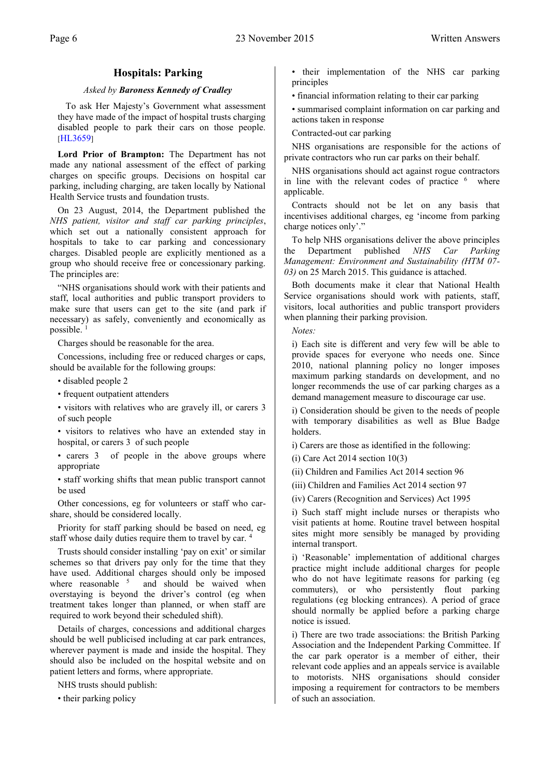### **Hospitals: Parking**

#### *Asked by Baroness Kennedy of Cradley*

<span id="page-7-0"></span>To ask Her Majesty's Government what assessment they have made of the impact of hospital trusts charging disabled people to park their cars on those people[.](http://www.parliament.uk/business/publications/written-questions-answers-statements/written-question/Lords/2015-11-17/HL3659) [[HL3659](http://www.parliament.uk/business/publications/written-questions-answers-statements/written-question/Lords/2015-11-17/HL3659)]

**Lord Prior of Brampton:** The Department has not made any national assessment of the effect of parking charges on specific groups. Decisions on hospital car parking, including charging, are taken locally by National Health Service trusts and foundation trusts.

On 23 August, 2014, the Department published the *NHS patient, visitor and staff car parking principles*, which set out a nationally consistent approach for hospitals to take to car parking and concessionary charges. Disabled people are explicitly mentioned as a group who should receive free or concessionary parking. The principles are:

"NHS organisations should work with their patients and staff, local authorities and public transport providers to make sure that users can get to the site (and park if necessary) as safely, conveniently and economically as possible.  $1$ 

Charges should be reasonable for the area.

Concessions, including free or reduced charges or caps, should be available for the following groups:

• disabled people 2

• frequent outpatient attenders

• visitors with relatives who are gravely ill, or carers 3 of such people

• visitors to relatives who have an extended stay in hospital, or carers 3 of such people

• carers 3 of people in the above groups where appropriate

• staff working shifts that mean public transport cannot be used

Other concessions, eg for volunteers or staff who carshare, should be considered locally.

Priority for staff parking should be based on need, eg staff whose daily duties require them to travel by car. <sup>4</sup>

Trusts should consider installing 'pay on exit' or similar schemes so that drivers pay only for the time that they have used. Additional charges should only be imposed where reasonable  $5$  and should be waived when overstaying is beyond the driver's control (eg when treatment takes longer than planned, or when staff are required to work beyond their scheduled shift).

Details of charges, concessions and additional charges should be well publicised including at car park entrances, wherever payment is made and inside the hospital. They should also be included on the hospital website and on patient letters and forms, where appropriate.

NHS trusts should publish:

• their parking policy

• their implementation of the NHS car parking principles

• financial information relating to their car parking

• summarised complaint information on car parking and actions taken in response

Contracted-out car parking

NHS organisations are responsible for the actions of private contractors who run car parks on their behalf.

NHS organisations should act against rogue contractors in line with the relevant codes of practice  $6$  where applicable.

Contracts should not be let on any basis that incentivises additional charges, eg 'income from parking charge notices only'."

To help NHS organisations deliver the above principles the Department published *NHS Car Parking Management: Environment and Sustainability (HTM 07- 03)* on 25 March 2015. This guidance is attached.

Both documents make it clear that National Health Service organisations should work with patients, staff, visitors, local authorities and public transport providers when planning their parking provision.

*Notes:*

i) Each site is different and very few will be able to provide spaces for everyone who needs one. Since 2010, national planning policy no longer imposes maximum parking standards on development, and no longer recommends the use of car parking charges as a demand management measure to discourage car use.

i) Consideration should be given to the needs of people with temporary disabilities as well as Blue Badge holders.

i) Carers are those as identified in the following:

(i) Care Act 2014 section 10(3)

(ii) Children and Families Act 2014 section 96

(iii) Children and Families Act 2014 section 97

(iv) Carers (Recognition and Services) Act 1995

i) Such staff might include nurses or therapists who visit patients at home. Routine travel between hospital sites might more sensibly be managed by providing internal transport.

i) 'Reasonable' implementation of additional charges practice might include additional charges for people who do not have legitimate reasons for parking (eg commuters), or who persistently flout parking regulations (eg blocking entrances). A period of grace should normally be applied before a parking charge notice is issued.

i) There are two trade associations: the British Parking Association and the Independent Parking Committee. If the car park operator is a member of either, their relevant code applies and an appeals service is available to motorists. NHS organisations should consider imposing a requirement for contractors to be members of such an association.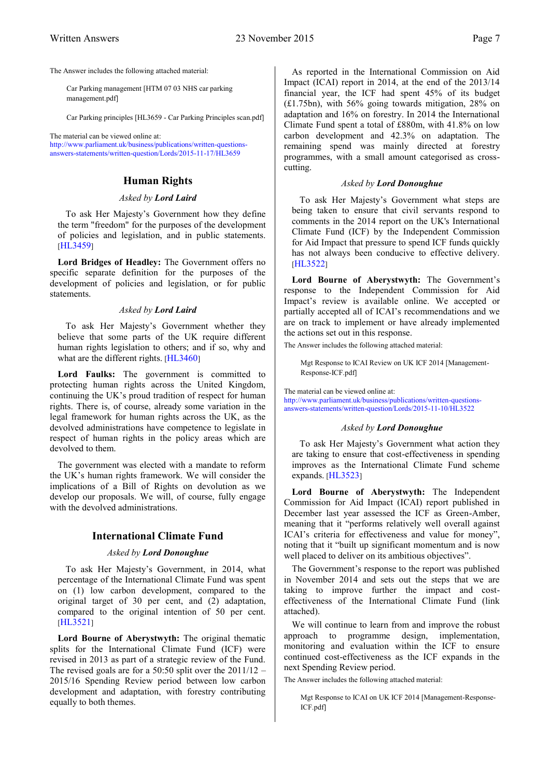The Answer includes the following attached material:

Car Parking management [HTM 07 03 NHS car parking management.pdf]

Car Parking principles [HL3659 - Car Parking Principles scan.pdf]

<span id="page-8-0"></span>[The material can be viewed online at:](http://www.parliament.uk/business/publications/written-questions-answers-statements/written-question/Lords/2015-11-17/HL3659)  [http://www.parliament.uk/business/publications/written-questions](http://www.parliament.uk/business/publications/written-questions-answers-statements/written-question/Lords/2015-11-17/HL3659)[answers-statements/written-question/Lords/2015-11-17/HL3659](http://www.parliament.uk/business/publications/written-questions-answers-statements/written-question/Lords/2015-11-17/HL3659)

#### **Human Rights**

#### *Asked by Lord Laird*

To ask Her Majesty's Government how they define the term "freedom" for the purposes of the development of policies and legislation, and in public statements[.](http://www.parliament.uk/business/publications/written-questions-answers-statements/written-question/Lords/2015-11-09/HL3459) [[HL3459](http://www.parliament.uk/business/publications/written-questions-answers-statements/written-question/Lords/2015-11-09/HL3459)]

**Lord Bridges of Headley:** The Government offers no specific separate definition for the purposes of the development of policies and legislation, or for public statements.

#### *Asked by Lord Laird*

To ask Her Majesty's Government whether they believe that some parts of the UK require different human rights legislation to others; and if so, why and what are the different rights. [[HL3460](http://www.parliament.uk/business/publications/written-questions-answers-statements/written-question/Lords/2015-11-09/HL3460)]

Lord Faulks: The government is committed to protecting human rights across the United Kingdom, continuing the UK's proud tradition of respect for human rights. There is, of course, already some variation in the legal framework for human rights across the UK, as the devolved administrations have competence to legislate in respect of human rights in the policy areas which are devolved to them.

The government was elected with a mandate to reform the UK's human rights framework. We will consider the implications of a Bill of Rights on devolution as we develop our proposals. We will, of course, fully engage with the devolved administrations.

#### <span id="page-8-1"></span>**International Climate Fund**

#### *Asked by Lord Donoughue*

To ask Her Majesty's Government, in 2014, what percentage of the International Climate Fund was spent on (1) low carbon development, compared to the original target of 30 per cent, and (2) adaptation, compared to the original intention of 50 per cent[.](http://www.parliament.uk/business/publications/written-questions-answers-statements/written-question/Lords/2015-11-10/HL3521) [[HL3521](http://www.parliament.uk/business/publications/written-questions-answers-statements/written-question/Lords/2015-11-10/HL3521)]

Lord Bourne of Aberystwyth: The original thematic splits for the International Climate Fund (ICF) were revised in 2013 as part of a strategic review of the Fund. The revised goals are for a 50:50 split over the 2011/12 – 2015/16 Spending Review period between low carbon development and adaptation, with forestry contributing equally to both themes.

As reported in the International Commission on Aid Impact (ICAI) report in 2014, at the end of the 2013/14 financial year, the ICF had spent 45% of its budget (£1.75bn), with 56% going towards mitigation, 28% on adaptation and 16% on forestry. In 2014 the International Climate Fund spent a total of £880m, with 41.8% on low carbon development and 42.3% on adaptation. The remaining spend was mainly directed at forestry programmes, with a small amount categorised as crosscutting.

#### *Asked by Lord Donoughue*

To ask Her Majesty's Government what steps are being taken to ensure that civil servants respond to comments in the 2014 report on the UK's International Climate Fund (ICF) by the Independent Commission for Aid Impact that pressure to spend ICF funds quickly has not always been conducive to effective delivery[.](http://www.parliament.uk/business/publications/written-questions-answers-statements/written-question/Lords/2015-11-10/HL3522) [[HL3522](http://www.parliament.uk/business/publications/written-questions-answers-statements/written-question/Lords/2015-11-10/HL3522)]

Lord Bourne of Aberystwyth: The Government's response to the Independent Commission for Aid Impact's review is available online. We accepted or partially accepted all of ICAI's recommendations and we are on track to implement or have already implemented the actions set out in this response.

The Answer includes the following attached material:

Mgt Response to ICAI Review on UK ICF 2014 [Management-Response-ICF.pdf]

[The material can be viewed online at:](http://www.parliament.uk/business/publications/written-questions-answers-statements/written-question/Lords/2015-11-10/HL3522) 

[http://www.parliament.uk/business/publications/written-questions](http://www.parliament.uk/business/publications/written-questions-answers-statements/written-question/Lords/2015-11-10/HL3522)[answers-statements/written-question/Lords/2015-11-10/HL3522](http://www.parliament.uk/business/publications/written-questions-answers-statements/written-question/Lords/2015-11-10/HL3522)

#### *Asked by Lord Donoughue*

To ask Her Majesty's Government what action they are taking to ensure that cost-effectiveness in spending improves as the International Climate Fund scheme expands. [[HL3523](http://www.parliament.uk/business/publications/written-questions-answers-statements/written-question/Lords/2015-11-10/HL3523)]

**Lord Bourne of Aberystwyth:** The Independent Commission for Aid Impact (ICAI) report published in December last year assessed the ICF as Green-Amber, meaning that it "performs relatively well overall against ICAI's criteria for effectiveness and value for money", noting that it "built up significant momentum and is now well placed to deliver on its ambitious objectives".

The Government's response to the report was published in November 2014 and sets out the steps that we are taking to improve further the impact and costeffectiveness of the International Climate Fund (link attached).

We will continue to learn from and improve the robust approach to programme design, implementation, monitoring and evaluation within the ICF to ensure continued cost-effectiveness as the ICF expands in the next Spending Review period.

The Answer includes the following attached material:

Mgt Response to ICAI on UK ICF 2014 [Management-Response-ICF.pdf]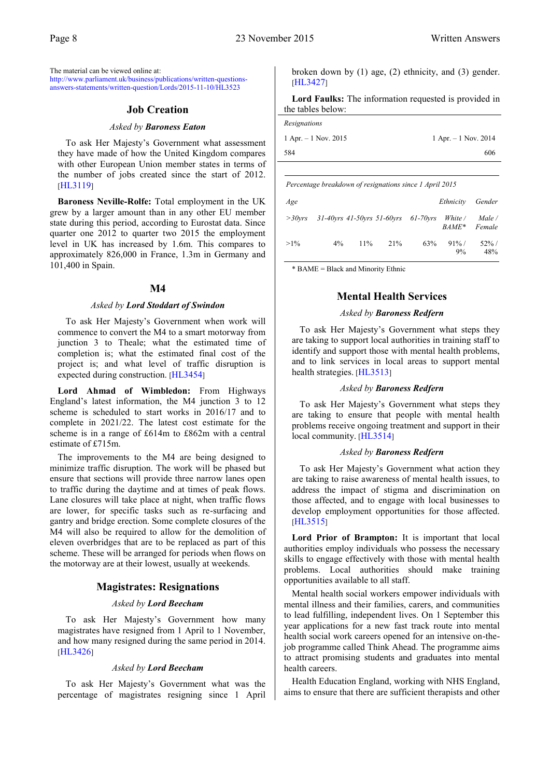<span id="page-9-0"></span>[The material can be viewed online at:](http://www.parliament.uk/business/publications/written-questions-answers-statements/written-question/Lords/2015-11-10/HL3523)  [http://www.parliament.uk/business/publications/written-questions](http://www.parliament.uk/business/publications/written-questions-answers-statements/written-question/Lords/2015-11-10/HL3523)[answers-statements/written-question/Lords/2015-11-10/HL3523](http://www.parliament.uk/business/publications/written-questions-answers-statements/written-question/Lords/2015-11-10/HL3523)

#### **Job Creation**

#### *Asked by Baroness Eaton*

To ask Her Majesty's Government what assessment they have made of how the United Kingdom compares with other European Union member states in terms of the number of jobs created since the start of 2012[.](http://www.parliament.uk/business/publications/written-questions-answers-statements/written-question/Lords/2015-10-29/HL3119) [[HL3119](http://www.parliament.uk/business/publications/written-questions-answers-statements/written-question/Lords/2015-10-29/HL3119)]

**Baroness Neville-Rolfe:** Total employment in the UK grew by a larger amount than in any other EU member state during this period, according to Eurostat data. Since quarter one 2012 to quarter two 2015 the employment level in UK has increased by 1.6m. This compares to approximately 826,000 in France, 1.3m in Germany and 101,400 in Spain.

#### **M4**

#### *Asked by Lord Stoddart of Swindon*

<span id="page-9-1"></span>To ask Her Majesty's Government when work will commence to convert the M4 to a smart motorway from junction 3 to Theale; what the estimated time of completion is; what the estimated final cost of the project is; and what level of traffic disruption is expected during construction. [[HL3454](http://www.parliament.uk/business/publications/written-questions-answers-statements/written-question/Lords/2015-11-09/HL3454)]

**Lord Ahmad of Wimbledon:** From Highways England's latest information, the M4 junction 3 to 12 scheme is scheduled to start works in 2016/17 and to complete in 2021/22. The latest cost estimate for the scheme is in a range of £614m to £862m with a central estimate of £715m.

The improvements to the M4 are being designed to minimize traffic disruption. The work will be phased but ensure that sections will provide three narrow lanes open to traffic during the daytime and at times of peak flows. Lane closures will take place at night, when traffic flows are lower, for specific tasks such as re-surfacing and gantry and bridge erection. Some complete closures of the M4 will also be required to allow for the demolition of eleven overbridges that are to be replaced as part of this scheme. These will be arranged for periods when flows on the motorway are at their lowest, usually at weekends.

#### **Magistrates: Resignations**

#### *Asked by Lord Beecham*

<span id="page-9-2"></span>To ask Her Majesty's Government how many magistrates have resigned from 1 April to 1 November, and how many resigned during the same period in 2014[.](http://www.parliament.uk/business/publications/written-questions-answers-statements/written-question/Lords/2015-11-09/HL3426) [[HL3426](http://www.parliament.uk/business/publications/written-questions-answers-statements/written-question/Lords/2015-11-09/HL3426)]

#### *Asked by Lord Beecham*

To ask Her Majesty's Government what was the percentage of magistrates resigning since 1 April broken down by (1) age, (2) ethnicity, and (3) gender[.](http://www.parliament.uk/business/publications/written-questions-answers-statements/written-question/Lords/2015-11-09/HL3427) [[HL3427](http://www.parliament.uk/business/publications/written-questions-answers-statements/written-question/Lords/2015-11-09/HL3427)]

**Lord Faulks:** The information requested is provided in the tables below:

| Resignations            |                         |
|-------------------------|-------------------------|
| $1$ Apr. $-1$ Nov. 2015 | $1$ Apr. $-1$ Nov. 2014 |
| 584                     | 606                     |

*Percentage breakdown of resignations since 1 April 2015*

| Age          |       |        |     |                                                                | Ethnicity Gender  |                 |
|--------------|-------|--------|-----|----------------------------------------------------------------|-------------------|-----------------|
| $>$ 30 $vrs$ |       |        |     | $31-40$ vrs $41-50$ vrs $51-60$ vrs $61-70$ vrs White / Male / | BAME*             | Female          |
| $>1\%$       | $4\%$ | $11\%$ | 21% | 63%                                                            | $91\%$ /<br>$9\%$ | $52\%$ /<br>48% |

<span id="page-9-3"></span>\* BAME = Black and Minority Ethnic

#### **Mental Health Services**

#### *Asked by Baroness Redfern*

To ask Her Majesty's Government what steps they are taking to support local authorities in training staff to identify and support those with mental health problems, and to link services in local areas to support mental health strategies. [[HL3513](http://www.parliament.uk/business/publications/written-questions-answers-statements/written-question/Lords/2015-11-10/HL3513)]

#### *Asked by Baroness Redfern*

To ask Her Majesty's Government what steps they are taking to ensure that people with mental health problems receive ongoing treatment and support in their local community. [[HL3514](http://www.parliament.uk/business/publications/written-questions-answers-statements/written-question/Lords/2015-11-10/HL3514)]

#### *Asked by Baroness Redfern*

To ask Her Majesty's Government what action they are taking to raise awareness of mental health issues, to address the impact of stigma and discrimination on those affected, and to engage with local businesses to develop employment opportunities for those affected[.](http://www.parliament.uk/business/publications/written-questions-answers-statements/written-question/Lords/2015-11-10/HL3515) [[HL3515](http://www.parliament.uk/business/publications/written-questions-answers-statements/written-question/Lords/2015-11-10/HL3515)]

Lord Prior of Brampton: It is important that local authorities employ individuals who possess the necessary skills to engage effectively with those with mental health problems. Local authorities should make training opportunities available to all staff.

Mental health social workers empower individuals with mental illness and their families, carers, and communities to lead fulfilling, independent lives. On 1 September this year applications for a new fast track route into mental health social work careers opened for an intensive on-thejob programme called Think Ahead. The programme aims to attract promising students and graduates into mental health careers.

Health Education England, working with NHS England, aims to ensure that there are sufficient therapists and other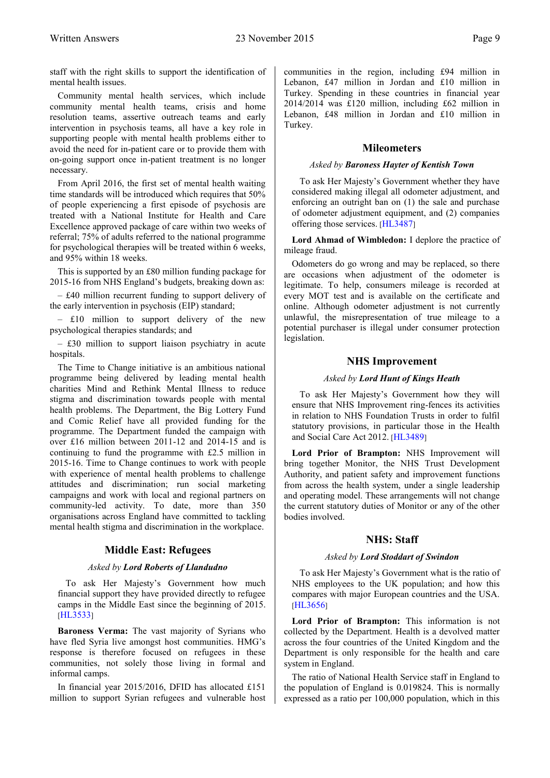staff with the right skills to support the identification of mental health issues.

Community mental health services, which include community mental health teams, crisis and home resolution teams, assertive outreach teams and early intervention in psychosis teams, all have a key role in supporting people with mental health problems either to avoid the need for in-patient care or to provide them with on-going support once in-patient treatment is no longer necessary.

From April 2016, the first set of mental health waiting time standards will be introduced which requires that 50% of people experiencing a first episode of psychosis are treated with a National Institute for Health and Care Excellence approved package of care within two weeks of referral; 75% of adults referred to the national programme for psychological therapies will be treated within 6 weeks, and 95% within 18 weeks.

This is supported by an £80 million funding package for 2015-16 from NHS England's budgets, breaking down as:

‒ £40 million recurrent funding to support delivery of the early intervention in psychosis (EIP) standard;

 $-$  £10 million to support delivery of the new psychological therapies standards; and

 $-$  £30 million to support liaison psychiatry in acute hospitals.

The Time to Change initiative is an ambitious national programme being delivered by leading mental health charities Mind and Rethink Mental Illness to reduce stigma and discrimination towards people with mental health problems. The Department, the Big Lottery Fund and Comic Relief have all provided funding for the programme. The Department funded the campaign with over £16 million between 2011-12 and 2014-15 and is continuing to fund the programme with £2.5 million in 2015-16. Time to Change continues to work with people with experience of mental health problems to challenge attitudes and discrimination; run social marketing campaigns and work with local and regional partners on community-led activity. To date, more than 350 organisations across England have committed to tackling mental health stigma and discrimination in the workplace.

#### **Middle East: Refugees**

#### *Asked by Lord Roberts of Llandudno*

<span id="page-10-0"></span>To ask Her Majesty's Government how much financial support they have provided directly to refugee camps in the Middle East since the beginning of 2015[.](http://www.parliament.uk/business/publications/written-questions-answers-statements/written-question/Lords/2015-11-10/HL3533) [[HL3533](http://www.parliament.uk/business/publications/written-questions-answers-statements/written-question/Lords/2015-11-10/HL3533)]

**Baroness Verma:** The vast majority of Syrians who have fled Syria live amongst host communities. HMG's response is therefore focused on refugees in these communities, not solely those living in formal and informal camps.

In financial year 2015/2016, DFID has allocated £151 million to support Syrian refugees and vulnerable host communities in the region, including £94 million in Lebanon, £47 million in Jordan and £10 million in Turkey. Spending in these countries in financial year 2014/2014 was £120 million, including £62 million in Lebanon, £48 million in Jordan and £10 million in Turkey.

#### **Mileometers**

#### <span id="page-10-1"></span>*Asked by Baroness Hayter of Kentish Town*

To ask Her Majesty's Government whether they have considered making illegal all odometer adjustment, and enforcing an outright ban on (1) the sale and purchase of odometer adjustment equipment, and (2) companies offering those services. [[HL3487](http://www.parliament.uk/business/publications/written-questions-answers-statements/written-question/Lords/2015-11-10/HL3487)]

**Lord Ahmad of Wimbledon:** I deplore the practice of mileage fraud.

Odometers do go wrong and may be replaced, so there are occasions when adjustment of the odometer is legitimate. To help, consumers mileage is recorded at every MOT test and is available on the certificate and online. Although odometer adjustment is not currently unlawful, the misrepresentation of true mileage to a potential purchaser is illegal under consumer protection legislation.

#### **NHS Improvement**

#### *Asked by Lord Hunt of Kings Heath*

<span id="page-10-2"></span>To ask Her Majesty's Government how they will ensure that NHS Improvement ring-fences its activities in relation to NHS Foundation Trusts in order to fulfil statutory provisions, in particular those in the Health and Social Care Act 2012. [[HL3489](http://www.parliament.uk/business/publications/written-questions-answers-statements/written-question/Lords/2015-11-10/HL3489)]

**Lord Prior of Brampton:** NHS Improvement will bring together Monitor, the NHS Trust Development Authority, and patient safety and improvement functions from across the health system, under a single leadership and operating model. These arrangements will not change the current statutory duties of Monitor or any of the other bodies involved.

#### **NHS: Staff**

#### *Asked by Lord Stoddart of Swindon*

<span id="page-10-3"></span>To ask Her Majesty's Government what is the ratio of NHS employees to the UK population; and how this compares with major European countries and the USA[.](http://www.parliament.uk/business/publications/written-questions-answers-statements/written-question/Lords/2015-11-17/HL3656) [[HL3656](http://www.parliament.uk/business/publications/written-questions-answers-statements/written-question/Lords/2015-11-17/HL3656)]

**Lord Prior of Brampton:** This information is not collected by the Department. Health is a devolved matter across the four countries of the United Kingdom and the Department is only responsible for the health and care system in England.

The ratio of National Health Service staff in England to the population of England is 0.019824. This is normally expressed as a ratio per 100,000 population, which in this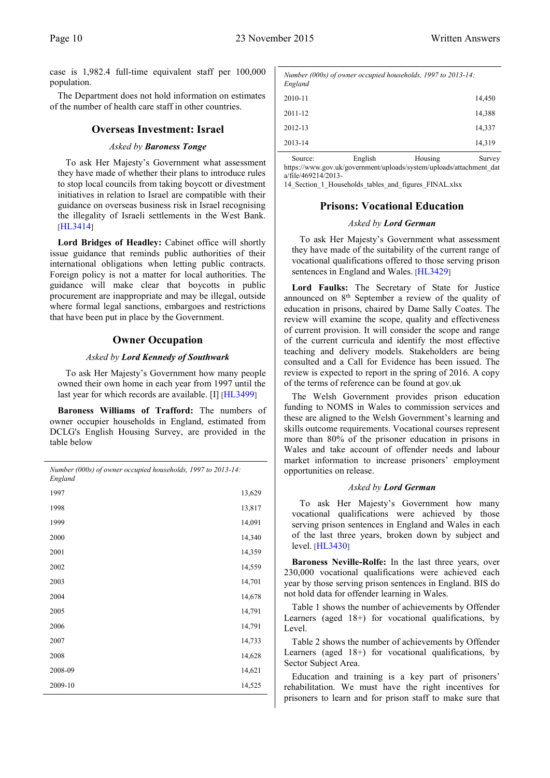case is 1,982.4 full-time equivalent staff per 100,000 population.

<span id="page-11-0"></span>The Department does not hold information on estimates of the number of health care staff in other countries.

#### **Overseas Investment: Israel**

#### *Asked by Baroness Tonge*

To ask Her Majesty's Government what assessment they have made of whether their plans to introduce rules to stop local councils from taking boycott or divestment initiatives in relation to Israel are compatible with their guidance on overseas business risk in Israel recognising the illegality of Israeli settlements in the West Bank[.](http://www.parliament.uk/business/publications/written-questions-answers-statements/written-question/Lords/2015-11-09/HL3414) [[HL3414](http://www.parliament.uk/business/publications/written-questions-answers-statements/written-question/Lords/2015-11-09/HL3414)]

Lord Bridges of Headley: Cabinet office will shortly issue guidance that reminds public authorities of their international obligations when letting public contracts. Foreign policy is not a matter for local authorities. The guidance will make clear that boycotts in public procurement are inappropriate and may be illegal, outside where formal legal sanctions, embargoes and restrictions that have been put in place by the Government.

#### **Owner Occupation**

#### *Asked by Lord Kennedy of Southwark*

<span id="page-11-1"></span>To ask Her Majesty's Government how many people owned their own home in each year from 1997 until the last year for which records are available. [I] [[HL3499](http://www.parliament.uk/business/publications/written-questions-answers-statements/written-question/Lords/2015-11-10/HL3499)]

**Baroness Williams of Trafford:** The numbers of owner occupier households in England, estimated from DCLG's English Housing Survey, are provided in the table below

| Number (000s) of owner occupied households, 1997 to 2013-14:<br>England |        |
|-------------------------------------------------------------------------|--------|
| 1997                                                                    | 13,629 |
| 1998                                                                    | 13,817 |
| 1999                                                                    | 14,091 |
| 2000                                                                    | 14,340 |
| 2001                                                                    | 14,359 |
| 2002                                                                    | 14,559 |
| 2003                                                                    | 14,701 |
| 2004                                                                    | 14,678 |
| 2005                                                                    | 14,791 |
| 2006                                                                    | 14,791 |
| 2007                                                                    | 14,733 |
| 2008                                                                    | 14,628 |
| 2008-09                                                                 | 14,621 |
| 2009-10                                                                 | 14,525 |

| England |         | Number (000s) of owner occupied households, 1997 to 2013-14: |        |
|---------|---------|--------------------------------------------------------------|--------|
| 2010-11 |         |                                                              | 14,450 |
| 2011-12 |         |                                                              | 14,388 |
| 2012-13 |         |                                                              | 14,337 |
| 2013-14 |         |                                                              | 14,319 |
| Source: | English | Housing                                                      | Survey |

https://www.gov.uk/government/uploads/system/uploads/attachment\_dat a/file/469214/2013-

<span id="page-11-2"></span>14 Section 1 Households tables and figures FINAL.xlsx

#### **Prisons: Vocational Education**

#### *Asked by Lord German*

To ask Her Majesty's Government what assessment they have made of the suitability of the current range of vocational qualifications offered to those serving prison sentences in England and Wales. [[HL3429](http://www.parliament.uk/business/publications/written-questions-answers-statements/written-question/Lords/2015-11-09/HL3429)]

**Lord Faulks:** The Secretary of State for Justice announced on 8th September a review of the quality of education in prisons, chaired by Dame Sally Coates. The review will examine the scope, quality and effectiveness of current provision. It will consider the scope and range of the current curricula and identify the most effective teaching and delivery models. Stakeholders are being consulted and a Call for Evidence has been issued. The review is expected to report in the spring of 2016. A copy of the terms of reference can be found at gov.uk

The Welsh Government provides prison education funding to NOMS in Wales to commission services and these are aligned to the Welsh Government's learning and skills outcome requirements. Vocational courses represent more than 80% of the prisoner education in prisons in Wales and take account of offender needs and labour market information to increase prisoners' employment opportunities on release.

#### *Asked by Lord German*

To ask Her Majesty's Government how many vocational qualifications were achieved by those serving prison sentences in England and Wales in each of the last three years, broken down by subject and level. [[HL3430](http://www.parliament.uk/business/publications/written-questions-answers-statements/written-question/Lords/2015-11-09/HL3430)]

**Baroness Neville-Rolfe:** In the last three years, over 230,000 vocational qualifications were achieved each year by those serving prison sentences in England. BIS do not hold data for offender learning in Wales.

Table 1 shows the number of achievements by Offender Learners (aged 18+) for vocational qualifications, by Level.

Table 2 shows the number of achievements by Offender Learners (aged 18+) for vocational qualifications, by Sector Subject Area.

Education and training is a key part of prisoners' rehabilitation. We must have the right incentives for prisoners to learn and for prison staff to make sure that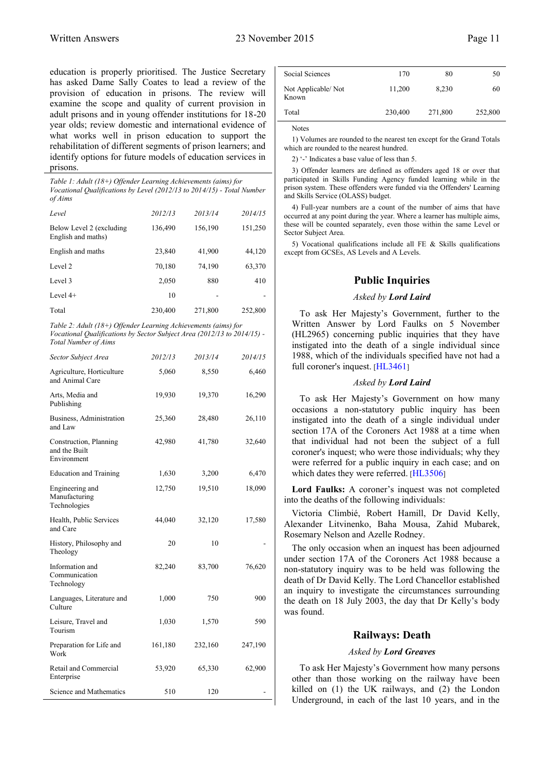education is properly prioritised. The Justice Secretary has asked Dame Sally Coates to lead a review of the provision of education in prisons. The review will examine the scope and quality of current provision in adult prisons and in young offender institutions for 18-20 year olds; review domestic and international evidence of what works well in prison education to support the rehabilitation of different segments of prison learners; and identify options for future models of education services in prisons.

*Table 1: Adult (18+) Offender Learning Achievements (aims) for Vocational Qualifications by Level (2012/13 to 2014/15) - Total Number of Aims*

| Level                                          | 2012/13 | 2013/14 | 2014/15 |
|------------------------------------------------|---------|---------|---------|
| Below Level 2 (excluding<br>English and maths) | 136,490 | 156,190 | 151,250 |
| English and maths                              | 23,840  | 41,900  | 44,120  |
| Level 2                                        | 70,180  | 74,190  | 63,370  |
| Level 3                                        | 2,050   | 880     | 410     |
| Level $4+$                                     | 10      |         |         |
| Total                                          | 230,400 | 271,800 | 252,800 |

*Table 2: Adult (18+) Offender Learning Achievements (aims) for Vocational Qualifications by Sector Subject Area (2012/13 to 2014/15) - Total Number of Aims*

| Sector Subject Area                                    | 2012/13 | 2013/14 | 2014/15 |
|--------------------------------------------------------|---------|---------|---------|
| Agriculture, Horticulture<br>and Animal Care           | 5,060   | 8,550   | 6,460   |
| Arts, Media and<br>Publishing                          | 19,930  | 19,370  | 16,290  |
| Business, Administration<br>and Law                    | 25,360  | 28,480  | 26,110  |
| Construction, Planning<br>and the Built<br>Environment | 42,980  | 41,780  | 32,640  |
| <b>Education and Training</b>                          | 1,630   | 3,200   | 6,470   |
| Engineering and<br>Manufacturing<br>Technologies       | 12,750  | 19,510  | 18,090  |
| Health, Public Services<br>and Care                    | 44,040  | 32,120  | 17,580  |
| History, Philosophy and<br>Theology                    | 20      | 10      |         |
| Information and<br>Communication<br>Technology         | 82,240  | 83,700  | 76,620  |
| Languages, Literature and<br>Culture                   | 1,000   | 750     | 900     |
| Leisure, Travel and<br>Tourism                         | 1,030   | 1,570   | 590     |
| Preparation for Life and<br>Work                       | 161,180 | 232,160 | 247,190 |
| Retail and Commercial<br>Enterprise                    | 53,920  | 65,330  | 62,900  |
| Science and Mathematics                                | 510     | 120     |         |

| Social Sciences             | 170     | 80      | 50      |
|-----------------------------|---------|---------|---------|
| Not Applicable/Not<br>Known | 11,200  | 8,230   | 60      |
| Total                       | 230,400 | 271,800 | 252,800 |
|                             |         |         |         |

Notes

1) Volumes are rounded to the nearest ten except for the Grand Totals which are rounded to the nearest hundred.

2) '-' Indicates a base value of less than 5.

3) Offender learners are defined as offenders aged 18 or over that participated in Skills Funding Agency funded learning while in the prison system. These offenders were funded via the Offenders' Learning and Skills Service (OLASS) budget.

4) Full-year numbers are a count of the number of aims that have occurred at any point during the year. Where a learner has multiple aims, these will be counted separately, even those within the same Level or Sector Subject Area.

<span id="page-12-0"></span>5) Vocational qualifications include all FE & Skills qualifications except from GCSEs, AS Levels and A Levels.

#### **Public Inquiries**

#### *Asked by Lord Laird*

To ask Her Majesty's Government, further to the Written Answer by Lord Faulks on 5 November (HL2965) concerning public inquiries that they have instigated into the death of a single individual since 1988, which of the individuals specified have not had a full coroner's inquest. [[HL3461](http://www.parliament.uk/business/publications/written-questions-answers-statements/written-question/Lords/2015-11-09/HL3461)]

#### *Asked by Lord Laird*

To ask Her Majesty's Government on how many occasions a non-statutory public inquiry has been instigated into the death of a single individual under section 17A of the Coroners Act 1988 at a time when that individual had not been the subject of a full coroner's inquest; who were those individuals; why they were referred for a public inquiry in each case; and on which dates they were referred. [[HL3506](http://www.parliament.uk/business/publications/written-questions-answers-statements/written-question/Lords/2015-11-10/HL3506)]

**Lord Faulks:** A coroner's inquest was not completed into the deaths of the following individuals:

Victoria Climbié, Robert Hamill, Dr David Kelly, Alexander Litvinenko, Baha Mousa, Zahid Mubarek, Rosemary Nelson and Azelle Rodney.

The only occasion when an inquest has been adjourned under section 17A of the Coroners Act 1988 because a non-statutory inquiry was to be held was following the death of Dr David Kelly. The Lord Chancellor established an inquiry to investigate the circumstances surrounding the death on 18 July 2003, the day that Dr Kelly's body was found.

#### **Railways: Death**

#### *Asked by Lord Greaves*

<span id="page-12-1"></span>To ask Her Majesty's Government how many persons other than those working on the railway have been killed on (1) the UK railways, and (2) the London Underground, in each of the last 10 years, and in the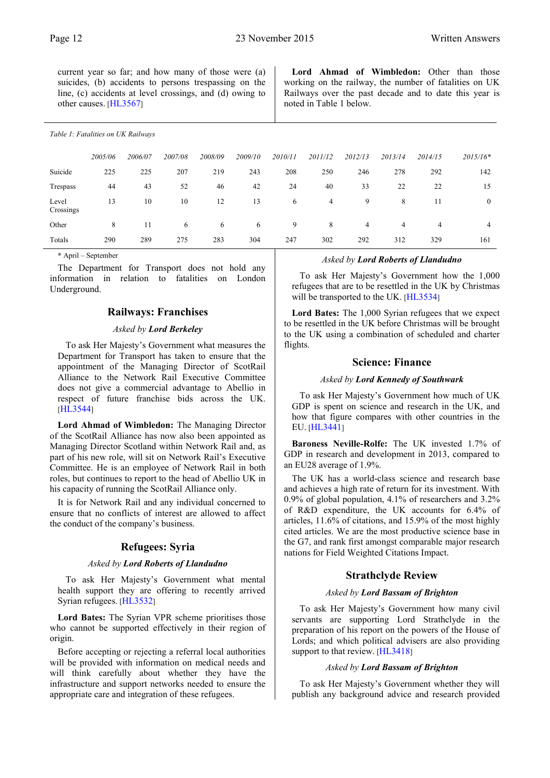current year so far; and how many of those were (a) suicides, (b) accidents to persons trespassing on the line, (c) accidents at level crossings, and (d) owing to other causes. [[HL3567](http://www.parliament.uk/business/publications/written-questions-answers-statements/written-question/Lords/2015-11-11/HL3567)]

#### *Table 1: Fatalities on UK Railways*

|                    | 2005/06 | 2006/07 | 2007/08 | 2008/09 | 2009/10 | 2010/11 | 2011/12 | 2012/13 | 2013/14 | 2014/15 | $2015/16*$   |
|--------------------|---------|---------|---------|---------|---------|---------|---------|---------|---------|---------|--------------|
| Suicide            | 225     | 225     | 207     | 219     | 243     | 208     | 250     | 246     | 278     | 292     | 142          |
| Trespass           | 44      | 43      | 52      | 46      | 42      | 24      | 40      | 33      | 22      | 22      | 15           |
| Level<br>Crossings | 13      | 10      | 10      | 12      | 13      | 6       | 4       | 9       | 8       | 11      | $\mathbf{0}$ |
| Other              | 8       | 11      | 6       | 6       | 6       | 9       | 8       | 4       | 4       | 4       | 4            |
| Totals             | 290     | 289     | 275     | 283     | 304     | 247     | 302     | 292     | 312     | 329     | 161          |

**\*** April – September

<span id="page-13-0"></span>The Department for Transport does not hold any information in relation to fatalities on London Underground.

#### **Railways: Franchises**

#### *Asked by Lord Berkeley*

To ask Her Majesty's Government what measures the Department for Transport has taken to ensure that the appointment of the Managing Director of ScotRail Alliance to the Network Rail Executive Committee does not give a commercial advantage to Abellio in respect of future franchise bids across the UK[.](http://www.parliament.uk/business/publications/written-questions-answers-statements/written-question/Lords/2015-11-11/HL3544) [[HL3544](http://www.parliament.uk/business/publications/written-questions-answers-statements/written-question/Lords/2015-11-11/HL3544)]

**Lord Ahmad of Wimbledon:** The Managing Director of the ScotRail Alliance has now also been appointed as Managing Director Scotland within Network Rail and, as part of his new role, will sit on Network Rail's Executive Committee. He is an employee of Network Rail in both roles, but continues to report to the head of Abellio UK in his capacity of running the ScotRail Alliance only.

<span id="page-13-1"></span>It is for Network Rail and any individual concerned to ensure that no conflicts of interest are allowed to affect the conduct of the company's business.

#### **Refugees: Syria**

#### *Asked by Lord Roberts of Llandudno*

To ask Her Majesty's Government what mental health support they are offering to recently arrived Syrian refugees. [[HL3532](http://www.parliament.uk/business/publications/written-questions-answers-statements/written-question/Lords/2015-11-10/HL3532)]

**Lord Bates:** The Syrian VPR scheme prioritises those who cannot be supported effectively in their region of origin.

Before accepting or rejecting a referral local authorities will be provided with information on medical needs and will think carefully about whether they have the infrastructure and support networks needed to ensure the appropriate care and integration of these refugees.

#### *Asked by Lord Roberts of Llandudno*

To ask Her Majesty's Government how the 1,000 refugees that are to be resettled in the UK by Christmas will be transported to the UK. [[HL3534](http://www.parliament.uk/business/publications/written-questions-answers-statements/written-question/Lords/2015-11-10/HL3534)]

**Lord Bates:** The 1,000 Syrian refugees that we expect to be resettled in the UK before Christmas will be brought to the UK using a combination of scheduled and charter flights.

#### **Science: Finance**

#### *Asked by Lord Kennedy of Southwark*

<span id="page-13-2"></span>To ask Her Majesty's Government how much of UK GDP is spent on science and research in the UK, and how that figure compares with other countries in the EU. [[HL3441](http://www.parliament.uk/business/publications/written-questions-answers-statements/written-question/Lords/2015-11-09/HL3441)]

**Baroness Neville-Rolfe:** The UK invested 1.7% of GDP in research and development in 2013, compared to an EU28 average of 1.9%.

The UK has a world-class science and research base and achieves a high rate of return for its investment. With 0.9% of global population, 4.1% of researchers and 3.2% of R&D expenditure, the UK accounts for 6.4% of articles, 11.6% of citations, and 15.9% of the most highly cited articles. We are the most productive science base in the G7, and rank first amongst comparable major research nations for Field Weighted Citations Impact.

#### **Strathclyde Review**

#### *Asked by Lord Bassam of Brighton*

<span id="page-13-3"></span>To ask Her Majesty's Government how many civil servants are supporting Lord Strathclyde in the preparation of his report on the powers of the House of Lords; and which political advisers are also providing support to that review. [[HL3418](http://www.parliament.uk/business/publications/written-questions-answers-statements/written-question/Lords/2015-11-09/HL3418)]

#### *Asked by Lord Bassam of Brighton*

To ask Her Majesty's Government whether they will publish any background advice and research provided

Lord Ahmad of Wimbledon: Other than those working on the railway, the number of fatalities on UK Railways over the past decade and to date this year is noted in Table 1 below.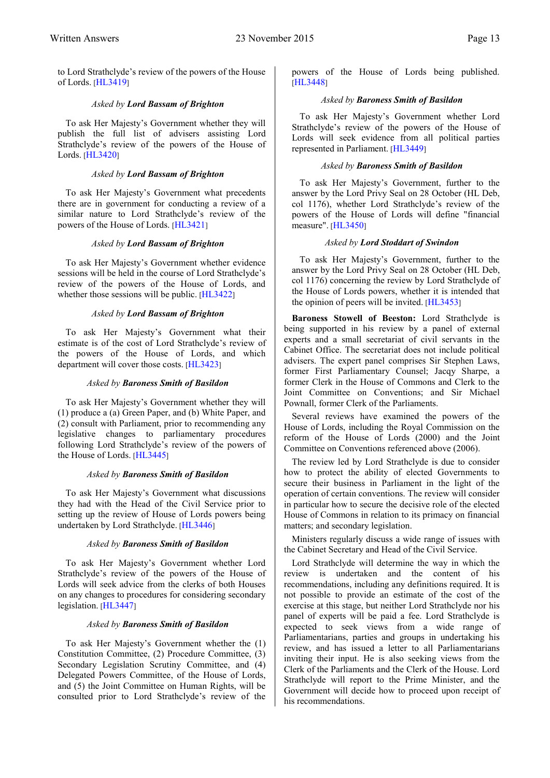to Lord Strathclyde's review of the powers of the House of Lords. [[HL3419](http://www.parliament.uk/business/publications/written-questions-answers-statements/written-question/Lords/2015-11-09/HL3419)]

#### *Asked by Lord Bassam of Brighton*

To ask Her Majesty's Government whether they will publish the full list of advisers assisting Lord Strathclyde's review of the powers of the House of Lords. [[HL3420](http://www.parliament.uk/business/publications/written-questions-answers-statements/written-question/Lords/2015-11-09/HL3420)]

#### *Asked by Lord Bassam of Brighton*

To ask Her Majesty's Government what precedents there are in government for conducting a review of a similar nature to Lord Strathclyde's review of the powers of the House of Lords. [[HL3421](http://www.parliament.uk/business/publications/written-questions-answers-statements/written-question/Lords/2015-11-09/HL3421)]

#### *Asked by Lord Bassam of Brighton*

To ask Her Majesty's Government whether evidence sessions will be held in the course of Lord Strathclyde's review of the powers of the House of Lords, and whether those sessions will be public. [[HL3422](http://www.parliament.uk/business/publications/written-questions-answers-statements/written-question/Lords/2015-11-09/HL3422)]

#### *Asked by Lord Bassam of Brighton*

To ask Her Majesty's Government what their estimate is of the cost of Lord Strathclyde's review of the powers of the House of Lords, and which department will cover those costs. [[HL3423](http://www.parliament.uk/business/publications/written-questions-answers-statements/written-question/Lords/2015-11-09/HL3423)]

#### *Asked by Baroness Smith of Basildon*

To ask Her Majesty's Government whether they will (1) produce a (a) Green Paper, and (b) White Paper, and (2) consult with Parliament, prior to recommending any legislative changes to parliamentary procedures following Lord Strathclyde's review of the powers of the House of Lords. [[HL3445](http://www.parliament.uk/business/publications/written-questions-answers-statements/written-question/Lords/2015-11-09/HL3445)]

#### *Asked by Baroness Smith of Basildon*

To ask Her Majesty's Government what discussions they had with the Head of the Civil Service prior to setting up the review of House of Lords powers being undertaken by Lord Strathclyde. [[HL3446](http://www.parliament.uk/business/publications/written-questions-answers-statements/written-question/Lords/2015-11-09/HL3446)]

#### *Asked by Baroness Smith of Basildon*

To ask Her Majesty's Government whether Lord Strathclyde's review of the powers of the House of Lords will seek advice from the clerks of both Houses on any changes to procedures for considering secondary legislation. [[HL3447](http://www.parliament.uk/business/publications/written-questions-answers-statements/written-question/Lords/2015-11-09/HL3447)]

#### *Asked by Baroness Smith of Basildon*

To ask Her Majesty's Government whether the (1) Constitution Committee, (2) Procedure Committee, (3) Secondary Legislation Scrutiny Committee, and (4) Delegated Powers Committee, of the House of Lords, and (5) the Joint Committee on Human Rights, will be consulted prior to Lord Strathclyde's review of the

powers of the House of Lords being published[.](http://www.parliament.uk/business/publications/written-questions-answers-statements/written-question/Lords/2015-11-09/HL3448) [[HL3448](http://www.parliament.uk/business/publications/written-questions-answers-statements/written-question/Lords/2015-11-09/HL3448)]

#### *Asked by Baroness Smith of Basildon*

To ask Her Majesty's Government whether Lord Strathclyde's review of the powers of the House of Lords will seek evidence from all political parties represented in Parliament. [[HL3449](http://www.parliament.uk/business/publications/written-questions-answers-statements/written-question/Lords/2015-11-09/HL3449)]

#### *Asked by Baroness Smith of Basildon*

To ask Her Majesty's Government, further to the answer by the Lord Privy Seal on 28 October (HL Deb, col 1176), whether Lord Strathclyde's review of the powers of the House of Lords will define "financial measure". [[HL3450](http://www.parliament.uk/business/publications/written-questions-answers-statements/written-question/Lords/2015-11-09/HL3450)]

#### *Asked by Lord Stoddart of Swindon*

To ask Her Majesty's Government, further to the answer by the Lord Privy Seal on 28 October (HL Deb, col 1176) concerning the review by Lord Strathclyde of the House of Lords powers, whether it is intended that the opinion of peers will be invited. [[HL3453](http://www.parliament.uk/business/publications/written-questions-answers-statements/written-question/Lords/2015-11-09/HL3453)]

**Baroness Stowell of Beeston:** Lord Strathclyde is being supported in his review by a panel of external experts and a small secretariat of civil servants in the Cabinet Office. The secretariat does not include political advisers. The expert panel comprises Sir Stephen Laws, former First Parliamentary Counsel; Jacqy Sharpe, a former Clerk in the House of Commons and Clerk to the Joint Committee on Conventions; and Sir Michael Pownall, former Clerk of the Parliaments.

Several reviews have examined the powers of the House of Lords, including the Royal Commission on the reform of the House of Lords (2000) and the Joint Committee on Conventions referenced above (2006).

The review led by Lord Strathclyde is due to consider how to protect the ability of elected Governments to secure their business in Parliament in the light of the operation of certain conventions. The review will consider in particular how to secure the decisive role of the elected House of Commons in relation to its primacy on financial matters; and secondary legislation.

Ministers regularly discuss a wide range of issues with the Cabinet Secretary and Head of the Civil Service.

Lord Strathclyde will determine the way in which the review is undertaken and the content of his recommendations, including any definitions required. It is not possible to provide an estimate of the cost of the exercise at this stage, but neither Lord Strathclyde nor his panel of experts will be paid a fee. Lord Strathclyde is expected to seek views from a wide range of Parliamentarians, parties and groups in undertaking his review, and has issued a letter to all Parliamentarians inviting their input. He is also seeking views from the Clerk of the Parliaments and the Clerk of the House. Lord Strathclyde will report to the Prime Minister, and the Government will decide how to proceed upon receipt of his recommendations.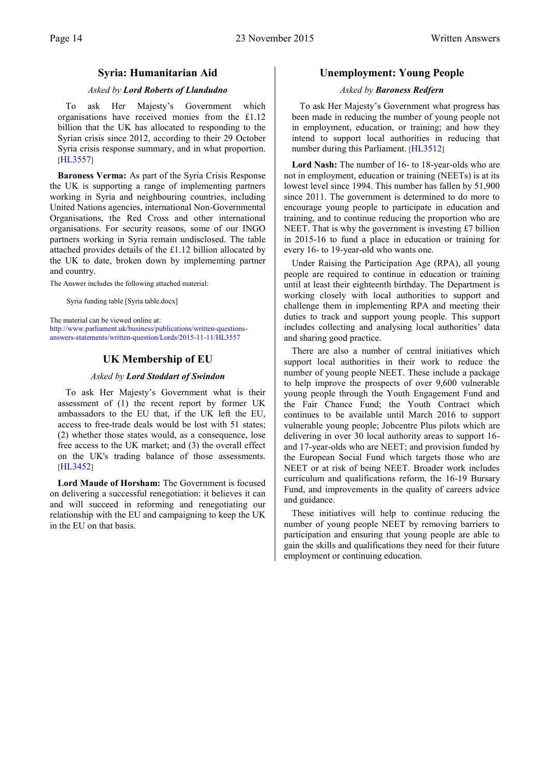#### **Syria: Humanitarian Aid**

#### *Asked by Lord Roberts of Llandudno*

<span id="page-15-0"></span>To ask Her Majesty's Government which organisations have received monies from the £1.12 billion that the UK has allocated to responding to the Syrian crisis since 2012, according to their 29 October Syria crisis response summary, and in what proportion[.](http://www.parliament.uk/business/publications/written-questions-answers-statements/written-question/Lords/2015-11-11/HL3557) [[HL3557](http://www.parliament.uk/business/publications/written-questions-answers-statements/written-question/Lords/2015-11-11/HL3557)]

**Baroness Verma:** As part of the Syria Crisis Response the UK is supporting a range of implementing partners working in Syria and neighbouring countries, including United Nations agencies, international Non-Governmental Organisations, the Red Cross and other international organisations. For security reasons, some of our INGO partners working in Syria remain undisclosed. The table attached provides details of the £1.12 billion allocated by the UK to date, broken down by implementing partner and country.

The Answer includes the following attached material:

Syria funding table [Syria table.docx]

<span id="page-15-1"></span>[The material can be viewed online at:](http://www.parliament.uk/business/publications/written-questions-answers-statements/written-question/Lords/2015-11-11/HL3557)  [http://www.parliament.uk/business/publications/written-questions](http://www.parliament.uk/business/publications/written-questions-answers-statements/written-question/Lords/2015-11-11/HL3557)[answers-statements/written-question/Lords/2015-11-11/HL3557](http://www.parliament.uk/business/publications/written-questions-answers-statements/written-question/Lords/2015-11-11/HL3557)

#### **UK Membership of EU**

#### *Asked by Lord Stoddart of Swindon*

To ask Her Majesty's Government what is their assessment of (1) the recent report by former UK ambassadors to the EU that, if the UK left the EU, access to free-trade deals would be lost with 51 states; (2) whether those states would, as a consequence, lose free access to the UK market; and (3) the overall effect on the UK's trading balance of those assessments[.](http://www.parliament.uk/business/publications/written-questions-answers-statements/written-question/Lords/2015-11-09/HL3452) [[HL3452](http://www.parliament.uk/business/publications/written-questions-answers-statements/written-question/Lords/2015-11-09/HL3452)]

**Lord Maude of Horsham:** The Government is focused on delivering a successful renegotiation: it believes it can and will succeed in reforming and renegotiating our relationship with the EU and campaigning to keep the UK in the EU on that basis.

#### **Unemployment: Young People**

#### *Asked by Baroness Redfern*

<span id="page-15-2"></span>To ask Her Majesty's Government what progress has been made in reducing the number of young people not in employment, education, or training; and how they intend to support local authorities in reducing that number during this Parliament. [[HL3512](http://www.parliament.uk/business/publications/written-questions-answers-statements/written-question/Lords/2015-11-10/HL3512)]

**Lord Nash:** The number of 16- to 18-year-olds who are not in employment, education or training (NEETs) is at its lowest level since 1994. This number has fallen by 51,900 since 2011. The government is determined to do more to encourage young people to participate in education and training, and to continue reducing the proportion who are NEET. That is why the government is investing £7 billion in 2015-16 to fund a place in education or training for every 16- to 19-year-old who wants one.

Under Raising the Participation Age (RPA), all young people are required to continue in education or training until at least their eighteenth birthday. The Department is working closely with local authorities to support and challenge them in implementing RPA and meeting their duties to track and support young people. This support includes collecting and analysing local authorities' data and sharing good practice.

There are also a number of central initiatives which support local authorities in their work to reduce the number of young people NEET. These include a package to help improve the prospects of over 9,600 vulnerable young people through the Youth Engagement Fund and the Fair Chance Fund; the Youth Contract which continues to be available until March 2016 to support vulnerable young people; Jobcentre Plus pilots which are delivering in over 30 local authority areas to support 16 and 17-year-olds who are NEET; and provision funded by the European Social Fund which targets those who are NEET or at risk of being NEET. Broader work includes curriculum and qualifications reform, the 16-19 Bursary Fund, and improvements in the quality of careers advice and guidance.

These initiatives will help to continue reducing the number of young people NEET by removing barriers to participation and ensuring that young people are able to gain the skills and qualifications they need for their future employment or continuing education.